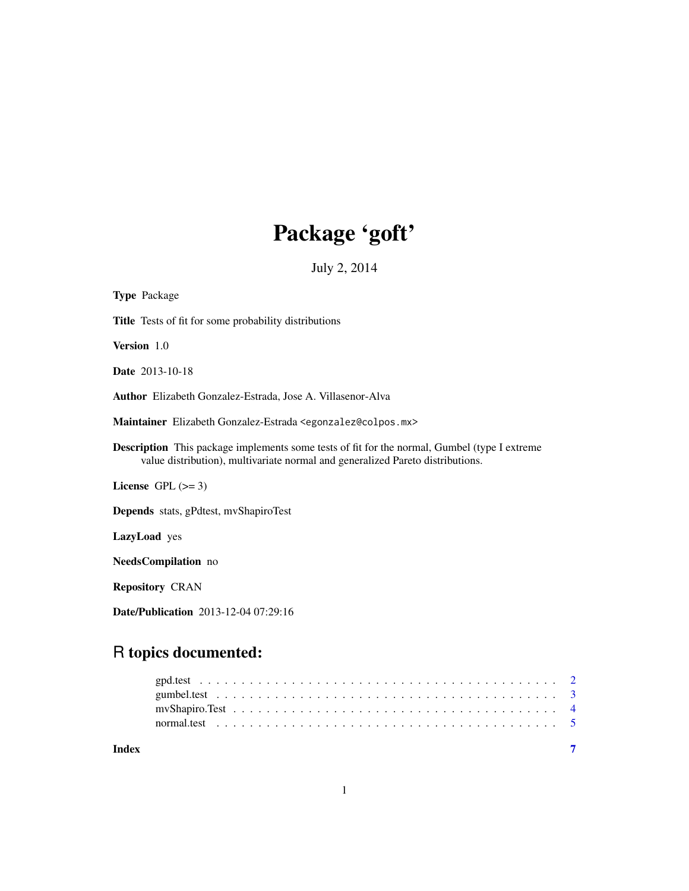## Package 'goft'

July 2, 2014

<span id="page-0-0"></span>

| Title Tests of fit for some probability distributions<br>Version 1.0<br>Date 2013-10-18<br><b>Author</b> Elizabeth Gonzalez-Estrada, Jose A. Villasenor-Alva<br>Maintainer Elizabeth Gonzalez-Estrada <egonzalez@colpos.mx><br/><b>Description</b> This package implements some tests of fit for the normal, Gumbel (type I extreme<br/>value distribution), multivariate normal and generalized Pareto distributions.<br/>License GPL <math>(&gt;= 3)</math><br/><b>Depends</b> stats, gPdtest, myShapiroTest<br/>LazyLoad yes<br/>NeedsCompilation no<br/><b>Repository CRAN</b></egonzalez@colpos.mx> | <b>Type Package</b> |
|----------------------------------------------------------------------------------------------------------------------------------------------------------------------------------------------------------------------------------------------------------------------------------------------------------------------------------------------------------------------------------------------------------------------------------------------------------------------------------------------------------------------------------------------------------------------------------------------------------|---------------------|
|                                                                                                                                                                                                                                                                                                                                                                                                                                                                                                                                                                                                          |                     |
|                                                                                                                                                                                                                                                                                                                                                                                                                                                                                                                                                                                                          |                     |
|                                                                                                                                                                                                                                                                                                                                                                                                                                                                                                                                                                                                          |                     |
|                                                                                                                                                                                                                                                                                                                                                                                                                                                                                                                                                                                                          |                     |
|                                                                                                                                                                                                                                                                                                                                                                                                                                                                                                                                                                                                          |                     |
|                                                                                                                                                                                                                                                                                                                                                                                                                                                                                                                                                                                                          |                     |
|                                                                                                                                                                                                                                                                                                                                                                                                                                                                                                                                                                                                          |                     |
|                                                                                                                                                                                                                                                                                                                                                                                                                                                                                                                                                                                                          |                     |
|                                                                                                                                                                                                                                                                                                                                                                                                                                                                                                                                                                                                          |                     |
|                                                                                                                                                                                                                                                                                                                                                                                                                                                                                                                                                                                                          |                     |
|                                                                                                                                                                                                                                                                                                                                                                                                                                                                                                                                                                                                          |                     |

Date/Publication 2013-12-04 07:29:16

### R topics documented:

| Index |  |  |  |  |  |  |  |  |  |  |  |  |  |  |  |  |
|-------|--|--|--|--|--|--|--|--|--|--|--|--|--|--|--|--|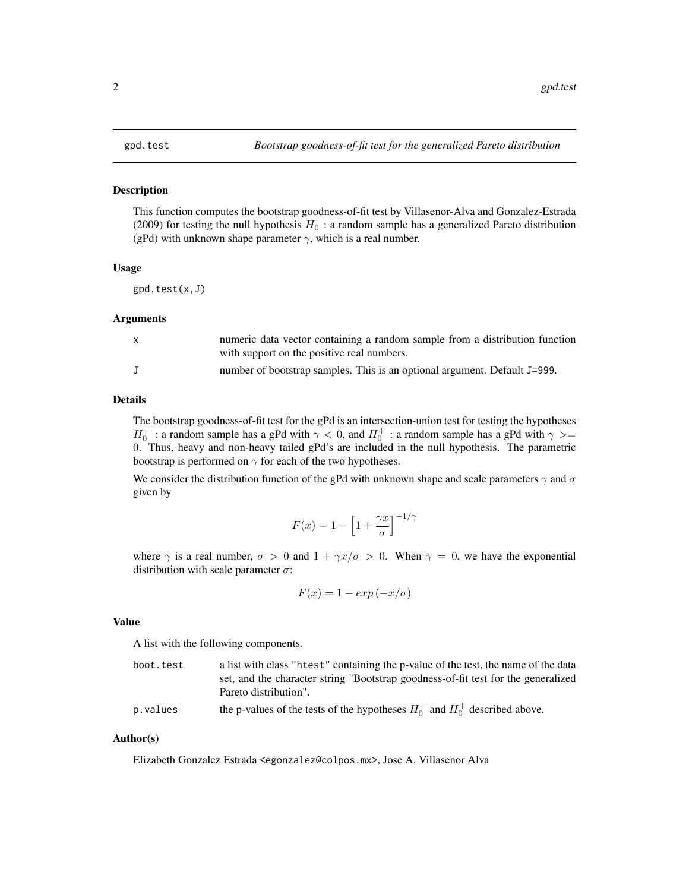#### <span id="page-1-0"></span>Description

This function computes the bootstrap goodness-of-fit test by Villasenor-Alva and Gonzalez-Estrada (2009) for testing the null hypothesis  $H_0$ : a random sample has a generalized Pareto distribution (gPd) with unknown shape parameter  $\gamma$ , which is a real number.

#### Usage

gpd.test(x,J)

#### Arguments

| $\mathsf{X}$ | numeric data vector containing a random sample from a distribution function |
|--------------|-----------------------------------------------------------------------------|
|              | with support on the positive real numbers.                                  |
|              | number of bootstrap samples. This is an optional argument. Default J=999.   |

#### Details

The bootstrap goodness-of-fit test for the gPd is an intersection-union test for testing the hypotheses  $H_0^-$ : a random sample has a gPd with  $\gamma < 0$ , and  $H_0^+$ : a random sample has a gPd with  $\gamma > =$ 0. Thus, heavy and non-heavy tailed gPd's are included in the null hypothesis. The parametric bootstrap is performed on  $\gamma$  for each of the two hypotheses.

We consider the distribution function of the gPd with unknown shape and scale parameters  $\gamma$  and  $\sigma$ given by

$$
F(x) = 1 - \left[1 + \frac{\gamma x}{\sigma}\right]^{-1/\gamma}
$$

where  $\gamma$  is a real number,  $\sigma > 0$  and  $1 + \gamma x/\sigma > 0$ . When  $\gamma = 0$ , we have the exponential distribution with scale parameter  $\sigma$ :

$$
F(x) = 1 - \exp(-x/\sigma)
$$

#### Value

A list with the following components.

| boot.test | a list with class "htest" containing the p-value of the test, the name of the data |
|-----------|------------------------------------------------------------------------------------|
|           | set, and the character string "Bootstrap goodness-of-fit test for the generalized  |
|           | Pareto distribution".                                                              |

p. values the p-values of the tests of the hypotheses  $H_0^-$  and  $H_0^+$  described above.

#### Author(s)

Elizabeth Gonzalez Estrada <egonzalez@colpos.mx>, Jose A. Villasenor Alva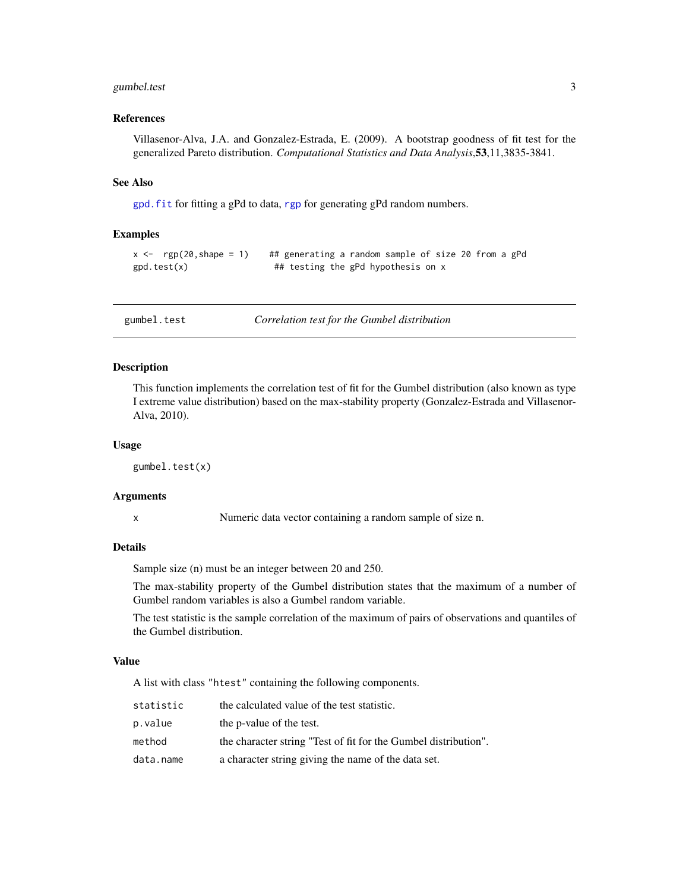#### <span id="page-2-0"></span>gumbel.test 3

#### References

Villasenor-Alva, J.A. and Gonzalez-Estrada, E. (2009). A bootstrap goodness of fit test for the generalized Pareto distribution. *Computational Statistics and Data Analysis*,53,11,3835-3841.

#### See Also

[gpd.fit](#page-0-0) for fitting a gPd to data, [rgp](#page-0-0) for generating gPd random numbers.

#### Examples

```
x < - rgp(20, shape = 1) ## generating a random sample of size 20 from a gPd
gpd.test(x) ## testing the gPd hypothesis on x
```
gumbel.test *Correlation test for the Gumbel distribution*

#### Description

This function implements the correlation test of fit for the Gumbel distribution (also known as type I extreme value distribution) based on the max-stability property (Gonzalez-Estrada and Villasenor-Alva, 2010).

#### Usage

gumbel.test(x)

#### Arguments

x Numeric data vector containing a random sample of size n.

#### **Details**

Sample size (n) must be an integer between 20 and 250.

The max-stability property of the Gumbel distribution states that the maximum of a number of Gumbel random variables is also a Gumbel random variable.

The test statistic is the sample correlation of the maximum of pairs of observations and quantiles of the Gumbel distribution.

#### Value

A list with class "htest" containing the following components.

| statistic | the calculated value of the test statistic.                     |
|-----------|-----------------------------------------------------------------|
| p.value   | the p-value of the test.                                        |
| method    | the character string "Test of fit for the Gumbel distribution". |
| data.name | a character string giving the name of the data set.             |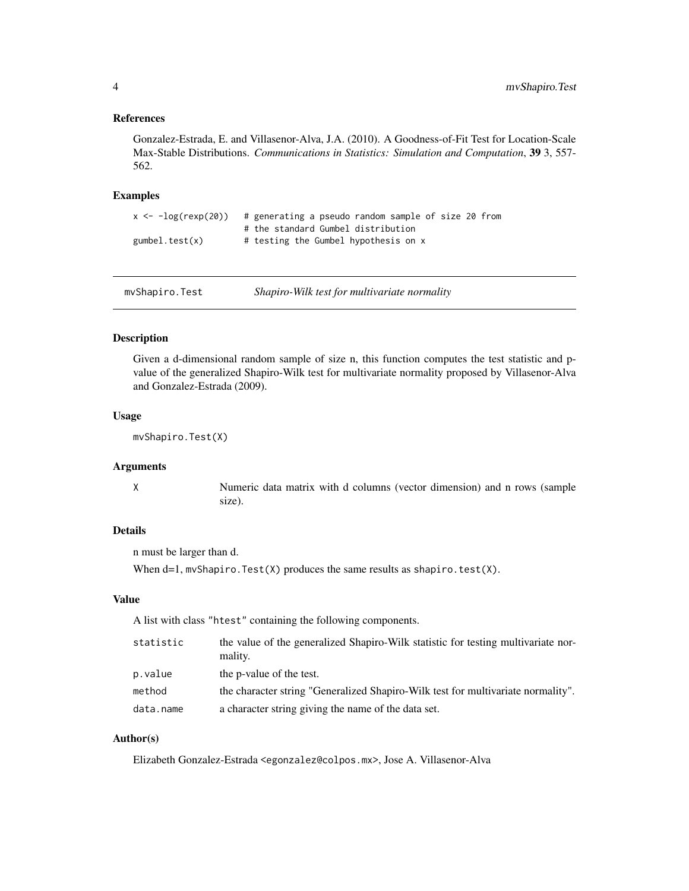#### <span id="page-3-0"></span>References

Gonzalez-Estrada, E. and Villasenor-Alva, J.A. (2010). A Goodness-of-Fit Test for Location-Scale Max-Stable Distributions. *Communications in Statistics: Simulation and Computation*, 39 3, 557- 562.

#### Examples

```
x \leftarrow -\log(\text{resp}(2\emptyset)) # generating a pseudo random sample of size 20 from
                        # the standard Gumbel distribution
gumbel.test(x) \# testing the Gumbel hypothesis on x
```
mvShapiro.Test *Shapiro-Wilk test for multivariate normality*

#### Description

Given a d-dimensional random sample of size n, this function computes the test statistic and pvalue of the generalized Shapiro-Wilk test for multivariate normality proposed by Villasenor-Alva and Gonzalez-Estrada (2009).

#### Usage

mvShapiro.Test(X)

#### Arguments

X Numeric data matrix with d columns (vector dimension) and n rows (sample size).

#### Details

n must be larger than d.

When  $d=1$ , mvShapiro. Test(X) produces the same results as shapiro. test(X).

#### Value

A list with class "htest" containing the following components.

| statistic | the value of the generalized Shapiro-Wilk statistic for testing multivariate nor-<br>mality. |
|-----------|----------------------------------------------------------------------------------------------|
| p.value   | the p-value of the test.                                                                     |
| method    | the character string "Generalized Shapiro-Wilk test for multivariate normality".             |
| data.name | a character string giving the name of the data set.                                          |

#### Author(s)

Elizabeth Gonzalez-Estrada <egonzalez@colpos.mx>, Jose A. Villasenor-Alva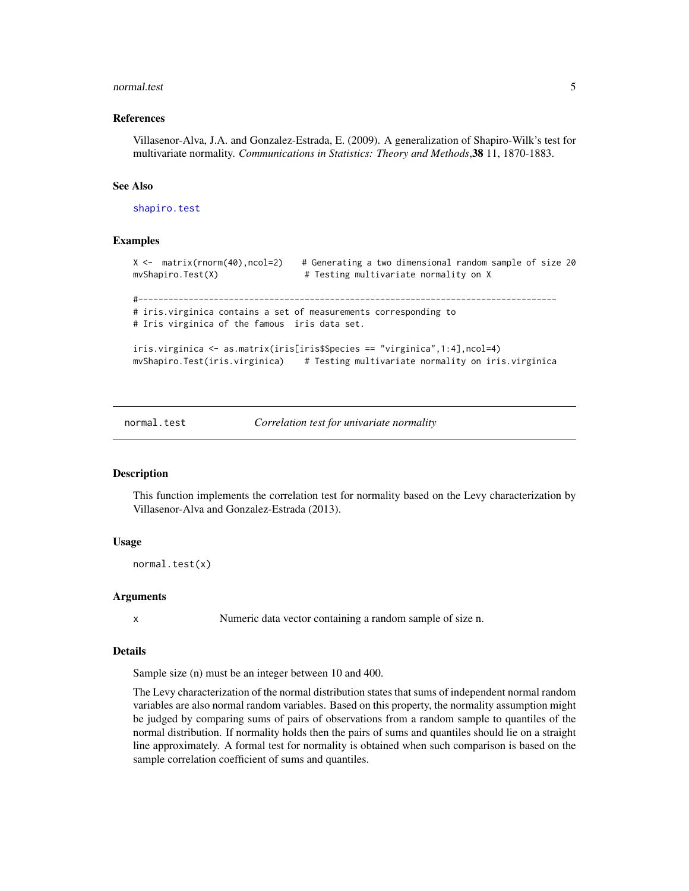#### <span id="page-4-0"></span>normal.test 5

#### References

Villasenor-Alva, J.A. and Gonzalez-Estrada, E. (2009). A generalization of Shapiro-Wilk's test for multivariate normality. *Communications in Statistics: Theory and Methods*,38 11, 1870-1883.

#### See Also

[shapiro.test](#page-0-0)

#### Examples

```
X <- matrix(rnorm(40),ncol=2) # Generating a two dimensional random sample of size 20
mvShapiro.Test(X) \qquad # Testing multivariate normality on X
#-----------------------------------------------------------------------------------
# iris.virginica contains a set of measurements corresponding to
# Iris virginica of the famous iris data set.
iris.virginica <- as.matrix(iris[iris$Species == "virginica",1:4],ncol=4)
mvShapiro.Test(iris.virginica) # Testing multivariate normality on iris.virginica
```
normal.test *Correlation test for univariate normality*

#### Description

This function implements the correlation test for normality based on the Levy characterization by Villasenor-Alva and Gonzalez-Estrada (2013).

#### Usage

```
normal.test(x)
```
#### Arguments

x Numeric data vector containing a random sample of size n.

#### Details

Sample size (n) must be an integer between 10 and 400.

The Levy characterization of the normal distribution states that sums of independent normal random variables are also normal random variables. Based on this property, the normality assumption might be judged by comparing sums of pairs of observations from a random sample to quantiles of the normal distribution. If normality holds then the pairs of sums and quantiles should lie on a straight line approximately. A formal test for normality is obtained when such comparison is based on the sample correlation coefficient of sums and quantiles.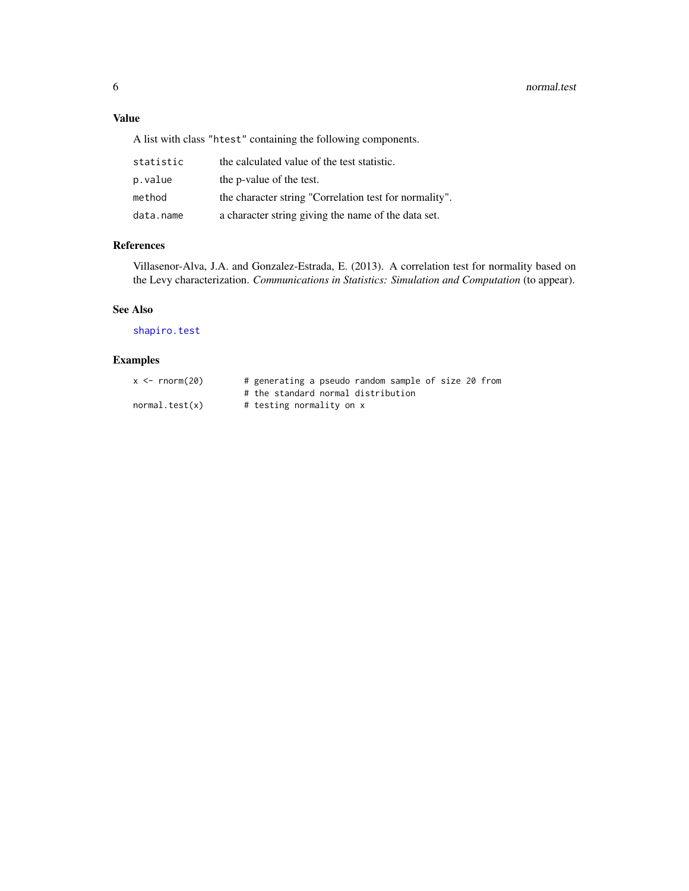#### <span id="page-5-0"></span>Value

A list with class "htest" containing the following components.

| statistic | the calculated value of the test statistic.            |
|-----------|--------------------------------------------------------|
| p.value   | the p-value of the test.                               |
| method    | the character string "Correlation test for normality". |
| data.name | a character string giving the name of the data set.    |

### References

Villasenor-Alva, J.A. and Gonzalez-Estrada, E. (2013). A correlation test for normality based on the Levy characterization. *Communications in Statistics: Simulation and Computation* (to appear).

#### See Also

[shapiro.test](#page-0-0)

### Examples

| $x \le -$ rnorm(20) | # generating a pseudo random sample of size 20 from |
|---------------------|-----------------------------------------------------|
|                     | # the standard normal distribution                  |
| normal.test(x)      | # testing normality on x                            |